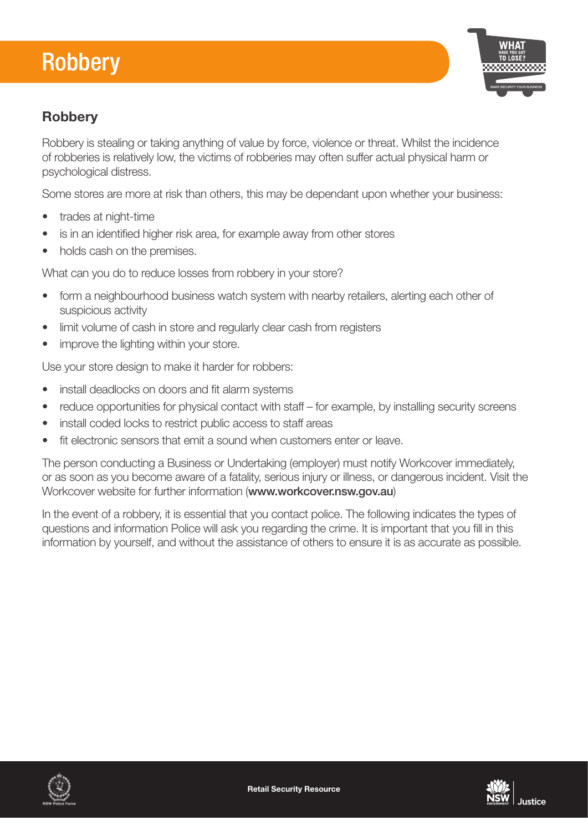## Robbery



## **Robbery**

Robbery is stealing or taking anything of value by force, violence or threat. Whilst the incidence of robberies is relatively low, the victims of robberies may often suffer actual physical harm or psychological distress.

Some stores are more at risk than others, this may be dependant upon whether your business:

- trades at night-time
- is in an identified higher risk area, for example away from other stores
- holds cash on the premises.

What can you do to reduce losses from robbery in your store?

- form a neighbourhood business watch system with nearby retailers, alerting each other of suspicious activity
- limit volume of cash in store and regularly clear cash from registers
- improve the lighting within your store.

Use your store design to make it harder for robbers:

- install deadlocks on doors and fit alarm systems
- reduce opportunities for physical contact with staff for example, by installing security screens
- install coded locks to restrict public access to staff areas
- fit electronic sensors that emit a sound when customers enter or leave.

The person conducting a Business or Undertaking (employer) must notify Workcover immediately, or as soon as you become aware of a fatality, serious injury or illness, or dangerous incident. Visit the Workcover website for further information (www.workcover.nsw.gov.au)

In the event of a robbery, it is essential that you contact police. The following indicates the types of questions and information Police will ask you regarding the crime. It is important that you fill in this information by yourself, and without the assistance of others to ensure it is as accurate as possible.



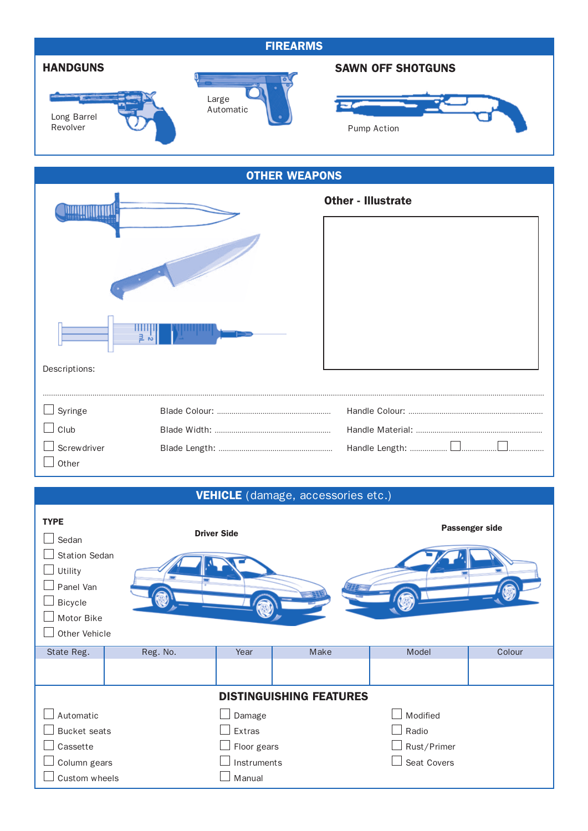| <b>FIREARMS</b>                                                                                                                      |          |                                                |                                    |                                                 |        |  |  |
|--------------------------------------------------------------------------------------------------------------------------------------|----------|------------------------------------------------|------------------------------------|-------------------------------------------------|--------|--|--|
| <b>HANDGUNS</b><br>Long Barrel<br>Revolver                                                                                           |          | Large<br>Automatic                             |                                    | <b>SAWN OFF SHOTGUNS</b><br>Pump Action         |        |  |  |
| <b>OTHER WEAPONS</b>                                                                                                                 |          |                                                |                                    |                                                 |        |  |  |
| Descriptions:                                                                                                                        |          |                                                |                                    | <b>Other - Illustrate</b>                       |        |  |  |
| Syringe                                                                                                                              |          |                                                |                                    |                                                 |        |  |  |
| $\Box$ Club                                                                                                                          |          |                                                |                                    |                                                 |        |  |  |
| Screwdriver<br>Other                                                                                                                 |          |                                                |                                    |                                                 |        |  |  |
|                                                                                                                                      |          |                                                | VEHICLE (damage, accessories etc.) |                                                 |        |  |  |
| <b>TYPE</b><br><b>Driver Side</b><br>Sedan<br><b>Station Sedan</b><br>Utility<br>Panel Van<br>Bicycle<br>Motor Bike<br>Other Vehicle |          |                                                | Passenger side                     |                                                 |        |  |  |
| State Reg.                                                                                                                           | Reg. No. | Year                                           | Make                               | Model                                           | Colour |  |  |
|                                                                                                                                      |          |                                                |                                    |                                                 |        |  |  |
| Automatic<br><b>Bucket</b> seats<br>Cassette<br>Column gears                                                                         |          | Damage<br>Extras<br>Floor gears<br>Instruments | <b>DISTINGUISHING FEATURES</b>     | Modified<br>Radio<br>Rust/Primer<br>Seat Covers |        |  |  |

 $\Box$  Custom wheels  $\Box$  Manual